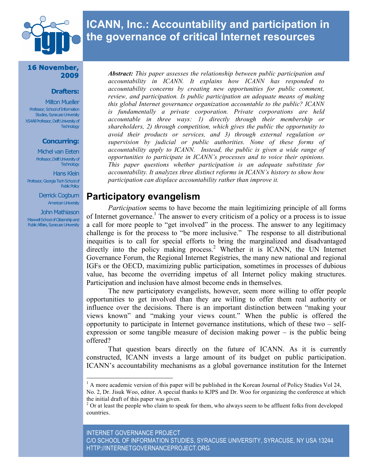

# **ICANN, Inc.: Accountability and participation in the governance of critical Internet resources**

#### **16 November, 2009**

#### **Drafters:**

**Milton Mueller** Professor, School of Information Studies, Syracuse University XS4All Professor, Delft University of **Technology** 

#### **Concurring:**

Michel van Eeten Professor, Delft University of **Technology** 

Hans Klein Professor, Georgia Tech School of **Public Policy** 

> Derrick Cogburn American University

John Mathiason Maxwell School of Citizenship and **Public Affairs, Syracuse University**  *Abstract: This paper assesses the relationship between public participation and accountability in ICANN. It explains how ICANN has responded to accountability concerns by creating new opportunities for public comment, review, and participation. Is public participation an adequate means of making this global Internet governance organization accountable to the public? ICANN is fundamentally a private corporation. Private corporations are held accountable in three ways: 1) directly through their membership or shareholders, 2) through competition, which gives the public the opportunity to avoid their products or services, and 3) through external regulation or supervision by judicial or public authorities. None of these forms of accountability apply to ICANN. Instead, the public is given a wide range of opportunities to participate in ICANN's processes and to voice their opinions. This paper questions whether participation is an adequate substitute for accountability. It analyzes three distinct reforms in ICANN's history to show how participation can displace accountability rather than improve it.*

## **Participatory evangelism**

*Participation* seems to have become the main legitimizing principle of all forms of Internet governance.<sup>1</sup> The answer to every criticism of a policy or a process is to issue a call for more people to "get involved" in the process. The answer to any legitimacy challenge is for the process to "be more inclusive." The response to all distributional inequities is to call for special efforts to bring the marginalized and disadvantaged directly into the policy making process.<sup>2</sup> Whether it is ICANN, the UN Internet Governance Forum, the Regional Internet Registries, the many new national and regional IGFs or the OECD, maximizing public participation, sometimes in processes of dubious value, has become the overriding impetus of all Internet policy making structures. Participation and inclusion have almost become ends in themselves.

The new participatory evangelists, however, seem more willing to offer people opportunities to get involved than they are willing to offer them real authority or influence over the decisions. There is an important distinction between "making your views known" and "making your views count." When the public is offered the opportunity to participate in Internet governance institutions, which of these two – selfexpression or some tangible measure of decision making power – is the public being offered?

That question bears directly on the future of ICANN. As it is currently constructed, ICANN invests a large amount of its budget on public participation. ICANN's accountability mechanisms as a global governance institution for the Internet

<sup>&</sup>lt;sup>1</sup> A more academic version of this paper will be published in the Korean Journal of Policy Studies Vol 24, No. 2, Dr. Jisuk Woo, editor. A special thanks to KJPS and Dr. Woo for organizing the conference at which the initial draft of this paper was given.

 $2$  Or at least the people who claim to speak for them, who always seem to be affluent folks from developed countries.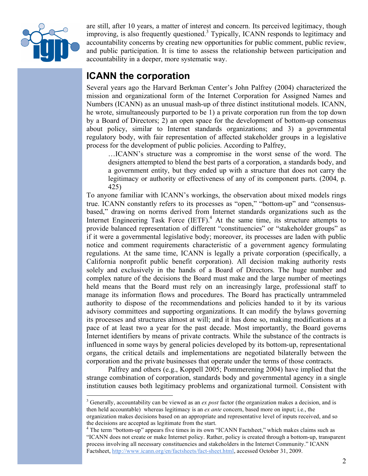

are still, after 10 years, a matter of interest and concern. Its perceived legitimacy, though improving, is also frequently questioned.<sup>3</sup> Typically, ICANN responds to legitimacy and accountability concerns by creating new opportunities for public comment, public review, and public participation. It is time to assess the relationship between participation and accountability in a deeper, more systematic way.

## **ICANN the corporation**

Several years ago the Harvard Berkman Center's John Palfrey (2004) characterized the mission and organizational form of the Internet Corporation for Assigned Names and Numbers (ICANN) as an unusual mash-up of three distinct institutional models. ICANN, he wrote, simultaneously purported to be 1) a private corporation run from the top down by a Board of Directors; 2) an open space for the development of bottom-up consensus about policy, similar to Internet standards organizations; and 3) a governmental regulatory body, with fair representation of affected stakeholder groups in a legislative process for the development of public policies. According to Palfrey,

…ICANN's structure was a compromise in the worst sense of the word. The designers attempted to blend the best parts of a corporation, a standards body, and a government entity, but they ended up with a structure that does not carry the legitimacy or authority or effectiveness of any of its component parts. (2004, p. 425)

To anyone familiar with ICANN's workings, the observation about mixed models rings true. ICANN constantly refers to its processes as "open," "bottom-up" and "consensusbased," drawing on norms derived from Internet standards organizations such as the Internet Engineering Task Force  $(ETF)$ .<sup>4</sup> At the same time, its structure attempts to provide balanced representation of different "constituencies" or "stakeholder groups" as if it were a governmental legislative body; moreover, its processes are laden with public notice and comment requirements characteristic of a government agency formulating regulations. At the same time, ICANN is legally a private corporation (specifically, a California nonprofit public benefit corporation). All decision making authority rests solely and exclusively in the hands of a Board of Directors. The huge number and complex nature of the decisions the Board must make and the large number of meetings held means that the Board must rely on an increasingly large, professional staff to manage its information flows and procedures. The Board has practically untrammeled authority to dispose of the recommendations and policies handed to it by its various advisory committees and supporting organizations. It can modify the bylaws governing its processes and structures almost at will; and it has done so, making modifications at a pace of at least two a year for the past decade. Most importantly, the Board governs Internet identifiers by means of private contracts. While the substance of the contracts is influenced in some ways by general policies developed by its bottom-up, representational organs, the critical details and implementations are negotiated bilaterally between the corporation and the private businesses that operate under the terms of those contracts.

Palfrey and others (e.g., Koppell 2005; Pommerening 2004) have implied that the strange combination of corporation, standards body and governmental agency in a single institution causes both legitimacy problems and organizational turmoil. Consistent with

 <sup>3</sup> <sup>3</sup> Generally, accountability can be viewed as an *ex post* factor (the organization makes a decision, and is then held accountable) whereas legitimacy is an *ex ante* concern, based more on input; i.e., the organization makes decisions based on an appropriate and representative level of inputs received, and so the decisions are accepted as legitimate from the start.

<sup>&</sup>lt;sup>4</sup> The term "bottom-up" appears five times in its own "ICANN Factsheet," which makes claims such as "ICANN does not create or make Internet policy. Rather, policy is created through a bottom-up, transparent process involving all necessary constituencies and stakeholders in the Internet Community." ICANN Factsheet, http://www.icann.org/en/factsheets/fact-sheet.html, accessed October 31, 2009.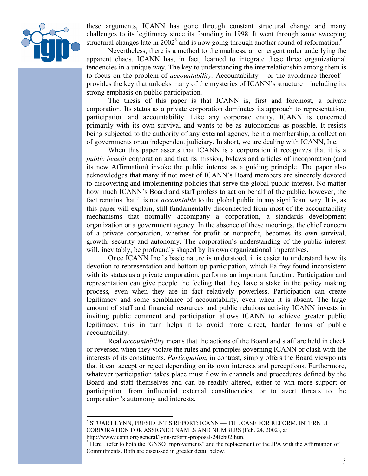

these arguments, ICANN has gone through constant structural change and many challenges to its legitimacy since its founding in 1998. It went through some sweeping structural changes late in  $2002^5$  and is now going through another round of reformation.<sup>6</sup>

Nevertheless, there is a method to the madness; an emergent order underlying the apparent chaos. ICANN has, in fact, learned to integrate these three organizational tendencies in a unique way. The key to understanding the interrelationship among them is to focus on the problem of *accountability*. Accountability – or the avoidance thereof – provides the key that unlocks many of the mysteries of ICANN's structure – including its strong emphasis on public participation.

The thesis of this paper is that ICANN is, first and foremost, a private corporation. Its status as a private corporation dominates its approach to representation, participation and accountability. Like any corporate entity, ICANN is concerned primarily with its own survival and wants to be as autonomous as possible. It resists being subjected to the authority of any external agency, be it a membership, a collection of governments or an independent judiciary. In short, we are dealing with ICANN, Inc.

When this paper asserts that ICANN is a corporation it recognizes that it is a *public benefit* corporation and that its mission, bylaws and articles of incorporation (and its new Affirmation) invoke the public interest as a guiding principle. The paper also acknowledges that many if not most of ICANN's Board members are sincerely devoted to discovering and implementing policies that serve the global public interest. No matter how much ICANN's Board and staff profess to act on behalf of the public, however, the fact remains that it is not *accountable* to the global public in any significant way. It is, as this paper will explain, still fundamentally disconnected from most of the accountability mechanisms that normally accompany a corporation, a standards development organization or a government agency. In the absence of these moorings, the chief concern of a private corporation, whether for-profit or nonprofit, becomes its own survival, growth, security and autonomy. The corporation's understanding of the public interest will, inevitably, be profoundly shaped by its own organizational imperatives.

Once ICANN Inc.'s basic nature is understood, it is easier to understand how its devotion to representation and bottom-up participation, which Palfrey found inconsistent with its status as a private corporation, performs an important function. Participation and representation can give people the feeling that they have a stake in the policy making process, even when they are in fact relatively powerless. Participation can create legitimacy and some semblance of accountability, even when it is absent. The large amount of staff and financial resources and public relations activity ICANN invests in inviting public comment and participation allows ICANN to achieve greater public legitimacy; this in turn helps it to avoid more direct, harder forms of public accountability.

Real *accountability* means that the actions of the Board and staff are held in check or reversed when they violate the rules and principles governing ICANN or clash with the interests of its constituents. *Participation,* in contrast, simply offers the Board viewpoints that it can accept or reject depending on its own interests and perceptions. Furthermore, whatever participation takes place must flow in channels and procedures defined by the Board and staff themselves and can be readily altered, either to win more support or participation from influential external constituencies, or to avert threats to the corporation's autonomy and interests.

 $^5$  STUART LYNN, PRESIDENT'S REPORT: ICANN — THE CASE FOR REFORM, INTERNET CORPORATION FOR ASSIGNED NAMES AND NUMBERS (Feb. 24, 2002), at

http://www.icann.org/general/lynn-reform-proposal-24feb02.htm. <sup>6</sup>

 $6$  Here I refer to both the "GNSO Improvements" and the replacement of the JPA with the Affirmation of Commitments. Both are discussed in greater detail below.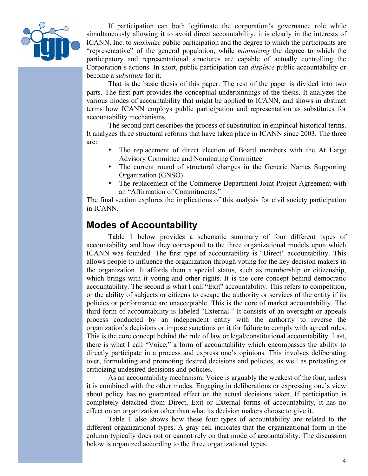

If participation can both legitimate the corporation's governance role while simultaneously allowing it to avoid direct accountability, it is clearly in the interests of ICANN, Inc. to *maximize* public participation and the degree to which the participants are "representative" of the general population, while *minimizing* the degree to which the participatory and representational structures are capable of actually controlling the Corporation's actions. In short, public participation can *displace* public accountability or become a *substitute* for it.

That is the basic thesis of this paper. The rest of the paper is divided into two parts. The first part provides the conceptual underpinnings of the thesis. It analyzes the various modes of accountability that might be applied to ICANN, and shows in abstract terms how ICANN employs public participation and representation as substitutes for accountability mechanisms.

The second part describes the process of substitution in empirical-historical terms. It analyzes three structural reforms that have taken place in ICANN since 2003. The three are:

- The replacement of direct election of Board members with the At Large Advisory Committee and Nominating Committee
- The current round of structural changes in the Generic Names Supporting Organization (GNSO)
- The replacement of the Commerce Department Joint Project Agreement with an "Affirmation of Commitments."

The final section explores the implications of this analysis for civil society participation in ICANN.

## **Modes of Accountability**

Table 1 below provides a schematic summary of four different types of accountability and how they correspond to the three organizational models upon which ICANN was founded. The first type of accountability is "Direct" accountability. This allows people to influence the organization through voting for the key decision makers in the organization. It affords them a special status, such as membership or citizenship, which brings with it voting and other rights. It is the core concept behind democratic accountability. The second is what I call "Exit" accountability. This refers to competition, or the ability of subjects or citizens to escape the authority or services of the entity if its policies or performance are unacceptable. This is the core of market accountability. The third form of accountability is labeled "External." It consists of an oversight or appeals process conducted by an independent entity with the authority to reverse the organization's decisions or impose sanctions on it for failure to comply with agreed rules. This is the core concept behind the rule of law or legal/constitutional accountability. Last, there is what I call "Voice," a form of accountability which encompasses the ability to directly participate in a process and express one's opinions. This involves deliberating over, formulating and promoting desired decisions and policies, as well as protesting or criticizing undesired decisions and policies.

As an accountability mechanism, Voice is arguably the weakest of the four, unless it is combined with the other modes. Engaging in deliberations or expressing one's view about policy has no guaranteed effect on the actual decisions taken. If participation is completely detached from Direct, Exit or External forms of accountability, it has no effect on an organization other than what its decision makers choose to give it.

Table 1 also shows how these four types of accountability are related to the different organizational types. A gray cell indicates that the organizational form in the column typically does not or cannot rely on that mode of accountability. The discussion below is organized according to the three organizational types.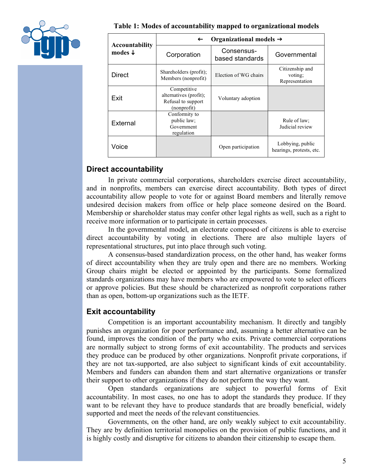

|                                             | Organizational models $\rightarrow$<br>$\leftarrow$                        |                               |                                              |  |  |
|---------------------------------------------|----------------------------------------------------------------------------|-------------------------------|----------------------------------------------|--|--|
| <b>Accountability</b><br>modes $\downarrow$ | Corporation                                                                | Consensus-<br>based standards | Governmental                                 |  |  |
| <b>Direct</b>                               | Shareholders (profit);<br>Members (nonprofit)                              | Election of WG chairs         | Citizenship and<br>voting;<br>Representation |  |  |
| Exit                                        | Competitive<br>alternatives (profit);<br>Refusal to support<br>(nonprofit) | Voluntary adoption            |                                              |  |  |
| External                                    | Conformity to<br>public law;<br>Government<br>regulation                   |                               | Rule of law:<br>Judicial review              |  |  |
| Voice                                       |                                                                            | Open participation            | Lobbying, public<br>hearings, protests, etc. |  |  |

#### **Direct accountability**

In private commercial corporations, shareholders exercise direct accountability, and in nonprofits, members can exercise direct accountability. Both types of direct accountability allow people to vote for or against Board members and literally remove undesired decision makers from office or help place someone desired on the Board. Membership or shareholder status may confer other legal rights as well, such as a right to receive more information or to participate in certain processes.

In the governmental model, an electorate composed of citizens is able to exercise direct accountability by voting in elections. There are also multiple layers of representational structures, put into place through such voting.

A consensus-based standardization process, on the other hand, has weaker forms of direct accountability when they are truly open and there are no members. Working Group chairs might be elected or appointed by the participants. Some formalized standards organizations may have members who are empowered to vote to select officers or approve policies. But these should be characterized as nonprofit corporations rather than as open, bottom-up organizations such as the IETF.

### **Exit accountability**

Competition is an important accountability mechanism. It directly and tangibly punishes an organization for poor performance and, assuming a better alternative can be found, improves the condition of the party who exits. Private commercial corporations are normally subject to strong forms of exit accountability. The products and services they produce can be produced by other organizations. Nonprofit private corporations, if they are not tax-supported, are also subject to significant kinds of exit accountability. Members and funders can abandon them and start alternative organizations or transfer their support to other organizations if they do not perform the way they want.

Open standards organizations are subject to powerful forms of Exit accountability. In most cases, no one has to adopt the standards they produce. If they want to be relevant they have to produce standards that are broadly beneficial, widely supported and meet the needs of the relevant constituencies.

Governments, on the other hand, are only weakly subject to exit accountability. They are by definition territorial monopolies on the provision of public functions, and it is highly costly and disruptive for citizens to abandon their citizenship to escape them.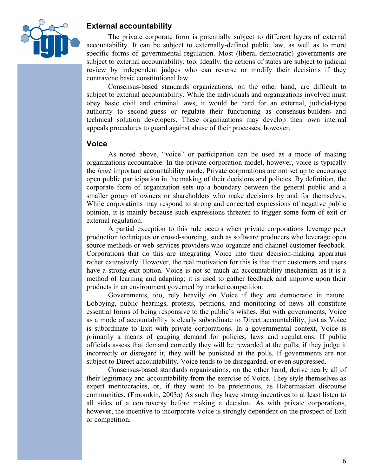

#### **External accountability**

The private corporate form is potentially subject to different layers of external accountability. It can be subject to externally-defined public law, as well as to more specific forms of governmental regulation. Most (liberal-democratic) governments are subject to external accountability, too. Ideally, the actions of states are subject to judicial review by independent judges who can reverse or modify their decisions if they contravene basic constitutional law.

Consensus-based standards organizations, on the other hand, are difficult to subject to external accountability. While the individuals and organizations involved must obey basic civil and criminal laws, it would be hard for an external, judicial-type authority to second-guess or regulate their functioning as consensus-builders and technical solution developers. These organizations may develop their own internal appeals procedures to guard against abuse of their processes, however.

#### **Voice**

As noted above, "voice" or participation can be used as a mode of making organizations accountable. In the private corporation model, however, voice is typically the *least* important accountability mode. Private corporations are not set up to encourage open public participation in the making of their decisions and policies. By definition, the corporate form of organization sets up a boundary between the general public and a smaller group of owners or shareholders who make decisions by and for themselves. While corporations may respond to strong and concerted expressions of negative public opinion, it is mainly because such expressions threaten to trigger some form of exit or external regulation.

A partial exception to this rule occurs when private corporations leverage peer production techniques or crowd-sourcing, such as software producers who leverage open source methods or web services providers who organize and channel customer feedback. Corporations that do this are integrating Voice into their decision-making apparatus rather extensively. However, the real motivation for this is that their customers and users have a strong exit option. Voice is not so much an accountability mechanism as it is a method of learning and adapting; it is used to gather feedback and improve upon their products in an environment governed by market competition.

Governments, too, rely heavily on Voice if they are democratic in nature. Lobbying, public hearings, protests, petitions, and monitoring of news all constitute essential forms of being responsive to the public's wishes. But with governments, Voice as a mode of accountability is clearly subordinate to Direct accountability, just as Voice is subordinate to Exit with private corporations. In a governmental context, Voice is primarily a means of gauging demand for policies, laws and regulations. If public officials assess that demand correctly they will be rewarded at the polls; if they judge it incorrectly or disregard it, they will be punished at the polls. If governments are not subject to Direct accountability, Voice tends to be disregarded, or even suppressed.

Consensus-based standards organizations, on the other hand, derive nearly all of their legitimacy and accountability from the exercise of Voice. They style themselves as expert meritocracies, or, if they want to be pretentious, as Habermasian discourse communities. (Froomkin, 2003a) As such they have strong incentives to at least listen to all sides of a controversy before making a decision. As with private corporations, however, the incentive to incorporate Voice is strongly dependent on the prospect of Exit or competition.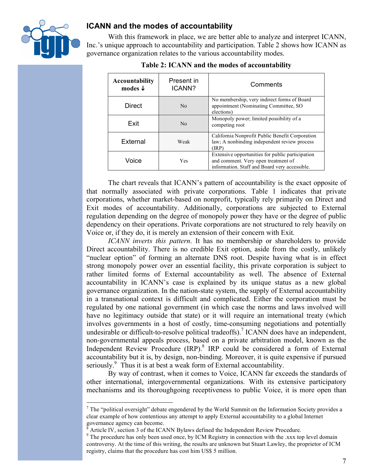

#### **ICANN and the modes of accountability**

With this framework in place, we are better able to analyze and interpret ICANN, Inc.'s unique approach to accountability and participation. Table 2 shows how ICANN as governance organization relates to the various accountability modes.

| <b>Accountability</b><br>modes $\downarrow$ | Present in<br>ICANN? | Comments                                                                                                                                 |
|---------------------------------------------|----------------------|------------------------------------------------------------------------------------------------------------------------------------------|
| <b>Direct</b>                               | N <sub>0</sub>       | No membership, very indirect forms of Board<br>appointment (Nominating Committee, SO)<br>elections)                                      |
| Exit                                        | N <sub>0</sub>       | Monopoly power; limited possibility of a<br>competing root                                                                               |
| External                                    | Weak                 | California Nonprofit Public Benefit Corporation<br>law; A nonbinding independent review process<br>TRP)                                  |
| Voice                                       | <b>Yes</b>           | Extensive opportunities for public participation<br>and comment. Very open treatment of<br>information. Staff and Board very accessible. |

**Table 2: ICANN and the modes of accountability**

The chart reveals that ICANN's pattern of accountability is the exact opposite of that normally associated with private corporations. Table 1 indicates that private corporations, whether market-based on nonprofit, typically rely primarily on Direct and Exit modes of accountability. Additionally, corporations are subjected to External regulation depending on the degree of monopoly power they have or the degree of public dependency on their operations. Private corporations are not structured to rely heavily on Voice or, if they do, it is merely an extension of their concern with Exit.

*ICANN inverts this pattern*. It has no membership or shareholders to provide Direct accountability. There is no credible Exit option, aside from the costly, unlikely "nuclear option" of forming an alternate DNS root. Despite having what is in effect strong monopoly power over an essential facility, this private corporation is subject to rather limited forms of External accountability as well. The absence of External accountability in ICANN's case is explained by its unique status as a new global governance organization. In the nation-state system, the supply of External accountability in a transnational context is difficult and complicated. Either the corporation must be regulated by one national government (in which case the norms and laws involved will have no legitimacy outside that state) or it will require an international treaty (which involves governments in a host of costly, time-consuming negotiations and potentially undesirable or difficult-to-resolve political tradeoffs).<sup>7</sup> ICANN does have an independent, non-governmental appeals process, based on a private arbitration model, known as the Independent Review Procedure (IRP).<sup>8</sup> IRP could be considered a form of External accountability but it is, by design, non-binding. Moreover, it is quite expensive if pursued seriously.<sup>9</sup> Thus it is at best a weak form of External accountability.

By way of contrast, when it comes to Voice, ICANN far exceeds the standards of other international, intergovernmental organizations. With its extensive participatory mechanisms and its thoroughgoing receptiveness to public Voice, it is more open than

<sup>-&</sup>lt;br>7  $\frac{7}{1}$  The "political oversight" debate engendered by the World Summit on the Information Society provides a clear example of how contentious any attempt to apply External accountability to a global Internet governance agency can become.

 $\delta$  Article IV, section 3 of the ICANN Bylaws defined the Independent Review Procedure.

 $9<sup>9</sup>$  The procedure has only been used once, by ICM Registry in connection with the .xxx top level domain controversy. At the time of this writing, the results are unknown but Stuart Lawley, the proprietor of ICM registry, claims that the procedure has cost him US\$ 5 million.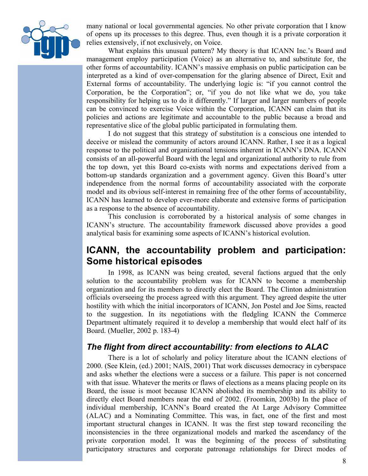

many national or local governmental agencies. No other private corporation that I know of opens up its processes to this degree. Thus, even though it is a private corporation it relies extensively, if not exclusively, on Voice.

What explains this unusual pattern? My theory is that ICANN Inc.'s Board and management employ participation (Voice) as an alternative to, and substitute for, the other forms of accountability. ICANN's massive emphasis on public participation can be interpreted as a kind of over-compensation for the glaring absence of Direct, Exit and External forms of accountability. The underlying logic is: "if you cannot control the Corporation, be the Corporation"; or, "if you do not like what we do, you take responsibility for helping us to do it differently." If larger and larger numbers of people can be convinced to exercise Voice within the Corporation, ICANN can claim that its policies and actions are legitimate and accountable to the public because a broad and representative slice of the global public participated in formulating them.

I do not suggest that this strategy of substitution is a conscious one intended to deceive or mislead the community of actors around ICANN. Rather, I see it as a logical response to the political and organizational tensions inherent in ICANN's DNA. ICANN consists of an all-powerful Board with the legal and organizational authority to rule from the top down, yet this Board co-exists with norms and expectations derived from a bottom-up standards organization and a government agency. Given this Board's utter independence from the normal forms of accountability associated with the corporate model and its obvious self-interest in remaining free of the other forms of accountability, ICANN has learned to develop ever-more elaborate and extensive forms of participation as a response to the absence of accountability.

This conclusion is corroborated by a historical analysis of some changes in ICANN's structure. The accountability framework discussed above provides a good analytical basis for examining some aspects of ICANN's historical evolution.

## **ICANN, the accountability problem and participation: Some historical episodes**

In 1998, as ICANN was being created, several factions argued that the only solution to the accountability problem was for ICANN to become a membership organization and for its members to directly elect the Board. The Clinton administration officials overseeing the process agreed with this argument. They agreed despite the utter hostility with which the initial incorporators of ICANN, Jon Postel and Joe Sims, reacted to the suggestion. In its negotiations with the fledgling ICANN the Commerce Department ultimately required it to develop a membership that would elect half of its Board. (Mueller, 2002 p. 183-4)

### *The flight from direct accountability: from elections to ALAC*

There is a lot of scholarly and policy literature about the ICANN elections of 2000. (See Klein, (ed.) 2001; NAIS, 2001) That work discusses democracy in cyberspace and asks whether the elections were a success or a failure. This paper is not concerned with that issue. Whatever the merits or flaws of elections as a means placing people on its Board, the issue is moot because ICANN abolished its membership and its ability to directly elect Board members near the end of 2002. (Froomkin, 2003b) In the place of individual membership, ICANN's Board created the At Large Advisory Committee (ALAC) and a Nominating Committee. This was, in fact, one of the first and most important structural changes in ICANN. It was the first step toward reconciling the inconsistencies in the three organizational models and marked the ascendancy of the private corporation model. It was the beginning of the process of substituting participatory structures and corporate patronage relationships for Direct modes of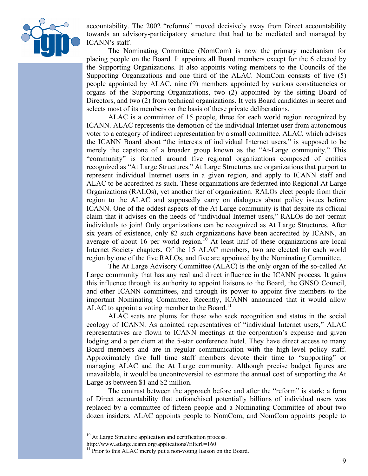

accountability. The 2002 "reforms" moved decisively away from Direct accountability towards an advisory-participatory structure that had to be mediated and managed by ICANN's staff.

The Nominating Committee (NomCom) is now the primary mechanism for placing people on the Board. It appoints all Board members except for the 6 elected by the Supporting Organizations. It also appoints voting members to the Councils of the Supporting Organizations and one third of the ALAC. NomCom consists of five (5) people appointed by ALAC, nine (9) members appointed by various constituencies or organs of the Supporting Organizations, two (2) appointed by the sitting Board of Directors, and two (2) from technical organizations. It vets Board candidates in secret and selects most of its members on the basis of these private deliberations.

ALAC is a committee of 15 people, three for each world region recognized by ICANN. ALAC represents the demotion of the individual Internet user from autonomous voter to a category of indirect representation by a small committee. ALAC, which advises the ICANN Board about "the interests of individual Internet users," is supposed to be merely the capstone of a broader group known as the "At-Large community." This "community" is formed around five regional organizations composed of entities recognized as "At Large Structures." At Large Structures are organizations that purport to represent individual Internet users in a given region, and apply to ICANN staff and ALAC to be accredited as such. These organizations are federated into Regional At Large Organizations (RALOs), yet another tier of organization. RALOs elect people from their region to the ALAC and supposedly carry on dialogues about policy issues before ICANN. One of the oddest aspects of the At Large community is that despite its official claim that it advises on the needs of "individual Internet users," RALOs do not permit individuals to join! Only organizations can be recognized as At Large Structures. After six years of existence, only 82 such organizations have been accredited by ICANN, an average of about 16 per world region.<sup>10</sup> At least half of these organizations are local Internet Society chapters. Of the 15 ALAC members, two are elected for each world region by one of the five RALOs, and five are appointed by the Nominating Committee.

The At Large Advisory Committee (ALAC) is the only organ of the so-called At Large community that has any real and direct influence in the ICANN process. It gains this influence through its authority to appoint liaisons to the Board, the GNSO Council, and other ICANN committees, and through its power to appoint five members to the important Nominating Committee. Recently, ICANN announced that it would allow ALAC to appoint a voting member to the Board.<sup>11</sup>

ALAC seats are plums for those who seek recognition and status in the social ecology of ICANN. As anointed representatives of "individual Internet users," ALAC representatives are flown to ICANN meetings at the corporation's expense and given lodging and a per diem at the 5-star conference hotel. They have direct access to many Board members and are in regular communication with the high-level policy staff. Approximately five full time staff members devote their time to "supporting" or managing ALAC and the At Large community. Although precise budget figures are unavailable, it would be uncontroversial to estimate the annual cost of supporting the At Large as between \$1 and \$2 million.

The contrast between the approach before and after the "reform" is stark: a form of Direct accountability that enfranchised potentially billions of individual users was replaced by a committee of fifteen people and a Nominating Committee of about two dozen insiders. ALAC appoints people to NomCom, and NomCom appoints people to

<sup>&</sup>lt;sup>10</sup> At Large Structure application and certification process.

http://www.atlarge.icann.org/applications?filter0=160

 $11$  Prior to this ALAC merely put a non-voting liaison on the Board.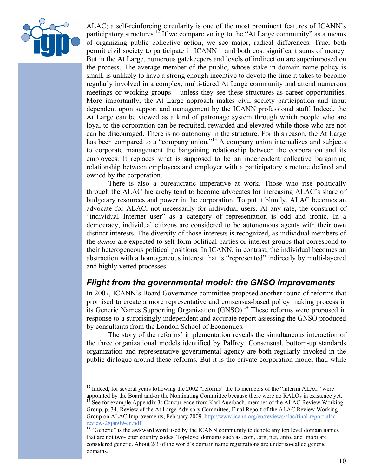

ALAC; a self-reinforcing circularity is one of the most prominent features of ICANN's participatory structures.<sup>12</sup> If we compare voting to the "At Large community" as a means of organizing public collective action, we see major, radical differences. True, both permit civil society to participate in ICANN – and both cost significant sums of money. But in the At Large, numerous gatekeepers and levels of indirection are superimposed on the process. The average member of the public, whose stake in domain name policy is small, is unlikely to have a strong enough incentive to devote the time it takes to become regularly involved in a complex, multi-tiered At Large community and attend numerous meetings or working groups – unless they see these structures as career opportunities. More importantly, the At Large approach makes civil society participation and input dependent upon support and management by the ICANN professional staff. Indeed, the At Large can be viewed as a kind of patronage system through which people who are loyal to the corporation can be recruited, rewarded and elevated while those who are not can be discouraged. There is no autonomy in the structure. For this reason, the At Large has been compared to a "company union."<sup>13</sup> A company union internalizes and subjects to corporate management the bargaining relationship between the corporation and its employees. It replaces what is supposed to be an independent collective bargaining relationship between employees and employer with a participatory structure defined and owned by the corporation.

There is also a bureaucratic imperative at work. Those who rise politically through the ALAC hierarchy tend to become advocates for increasing ALAC's share of budgetary resources and power in the corporation. To put it bluntly, ALAC becomes an advocate for ALAC, not necessarily for individual users. At any rate, the construct of "individual Internet user" as a category of representation is odd and ironic. In a democracy, individual citizens are considered to be autonomous agents with their own distinct interests. The diversity of those interests is recognized, as individual members of the *demos* are expected to self-form political parties or interest groups that correspond to their heterogeneous political positions. In ICANN, in contrast, the individual becomes an abstraction with a homogeneous interest that is "represented" indirectly by multi-layered and highly vetted processes.

### *Flight from the governmental model: the GNSO Improvements*

In 2007, ICANN's Board Governance committee proposed another round of reforms that promised to create a more representative and consensus-based policy making process in its Generic Names Supporting Organization  $(GNSO)$ .<sup>14</sup> These reforms were proposed in response to a surprisingly independent and accurate report assessing the GNSO produced by consultants from the London School of Economics.

The story of the reforms' implementation reveals the simultaneous interaction of the three organizational models identified by Palfrey. Consensual, bottom-up standards organization and representative governmental agency are both regularly invoked in the public dialogue around these reforms. But it is the private corporation model that, while

<sup>&</sup>lt;sup>12</sup> Indeed, for several years following the 2002 "reforms" the 15 members of the "interim ALAC" were appointed by the Board and/or the Nominating Committee because there were no RALOs in existence yet.

<sup>&</sup>lt;sup>13</sup> See for example Appendix 3: Concurrence from Karl Auerbach, member of the ALAC Review Working Group, p. 34, Review of the At Large Advisory Committee, Final Report of the ALAC Review Working Group on ALAC Improvements, February 2009. http://www.icann.org/en/reviews/alac/final-report-alac-

review-28jan09-en.pdf<br><sup>14</sup> "Generic" is the awkward word used by the ICANN community to denote any top level domain names that are not two-letter country codes. Top-level domains such as .com, .org, net, .info, and .mobi are considered generic. About 2/3 of the world's domain name registrations are under so-called generic domains.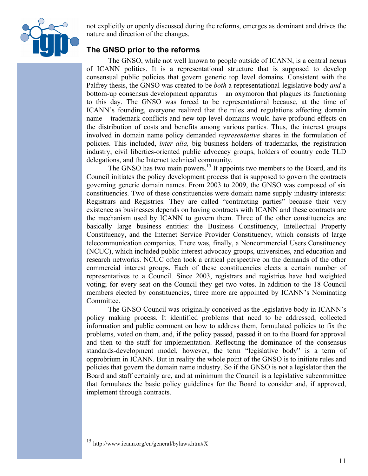

not explicitly or openly discussed during the reforms, emerges as dominant and drives the nature and direction of the changes.

### **The GNSO prior to the reforms**

The GNSO, while not well known to people outside of ICANN, is a central nexus of ICANN politics. It is a representational structure that is supposed to develop consensual public policies that govern generic top level domains. Consistent with the Palfrey thesis, the GNSO was created to be *both* a representational-legislative body *and* a bottom-up consensus development apparatus – an oxymoron that plagues its functioning to this day. The GNSO was forced to be representational because, at the time of ICANN's founding, everyone realized that the rules and regulations affecting domain name – trademark conflicts and new top level domains would have profound effects on the distribution of costs and benefits among various parties. Thus, the interest groups involved in domain name policy demanded *representative* shares in the formulation of policies. This included, *inter alia,* big business holders of trademarks, the registration industry, civil liberties-oriented public advocacy groups, holders of country code TLD delegations, and the Internet technical community.

The GNSO has two main powers.<sup>15</sup> It appoints two members to the Board, and its Council initiates the policy development process that is supposed to govern the contracts governing generic domain names. From 2003 to 2009, the GNSO was composed of six constituencies. Two of these constituencies were domain name supply industry interests: Registrars and Registries. They are called "contracting parties" because their very existence as businesses depends on having contracts with ICANN and these contracts are the mechanism used by ICANN to govern them. Three of the other constituencies are basically large business entities: the Business Constituency, Intellectual Property Constituency, and the Internet Service Provider Constituency, which consists of large telecommunication companies. There was, finally, a Noncommercial Users Constituency (NCUC), which included public interest advocacy groups, universities, and education and research networks. NCUC often took a critical perspective on the demands of the other commercial interest groups. Each of these constituencies elects a certain number of representatives to a Council. Since 2003, registrars and registries have had weighted voting; for every seat on the Council they get two votes. In addition to the 18 Council members elected by constituencies, three more are appointed by ICANN's Nominating Committee.

The GNSO Council was originally conceived as the legislative body in ICANN's policy making process. It identified problems that need to be addressed, collected information and public comment on how to address them, formulated policies to fix the problems, voted on them, and, if the policy passed, passed it on to the Board for approval and then to the staff for implementation. Reflecting the dominance of the consensus standards-development model, however, the term "legislative body" is a term of opprobrium in ICANN. But in reality the whole point of the GNSO is to initiate rules and policies that govern the domain name industry. So if the GNSO is not a legislator then the Board and staff certainly are, and at minimum the Council is a legislative subcommittee that formulates the basic policy guidelines for the Board to consider and, if approved, implement through contracts.

 <sup>15</sup> http://www.icann.org/en/general/bylaws.htm#X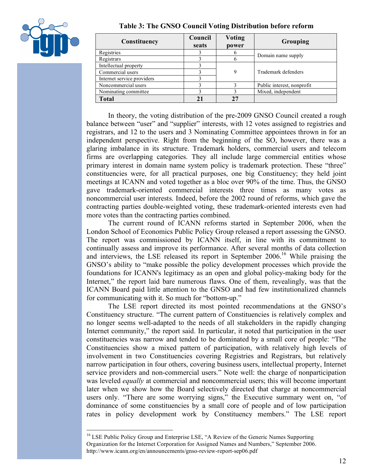

|  |  |  |  |  | Table 3: The GNSO Council Voting Distribution before reform |  |  |
|--|--|--|--|--|-------------------------------------------------------------|--|--|
|--|--|--|--|--|-------------------------------------------------------------|--|--|

| Constituency               | Council<br>seats | <b>Voting</b><br>power | Grouping                   |  |
|----------------------------|------------------|------------------------|----------------------------|--|
| Registries                 |                  |                        | Domain name supply         |  |
| Registrars                 |                  | n                      |                            |  |
| Intellectual property      |                  |                        |                            |  |
| Commercial users           |                  | 9                      | Trademark defenders        |  |
| Internet service providers |                  |                        |                            |  |
| Noncommercial users        |                  |                        | Public interest, nonprofit |  |
| Nominating committee.      |                  |                        | Mixed, independent         |  |
| <b>Total</b>               |                  |                        |                            |  |

In theory, the voting distribution of the pre-2009 GNSO Council created a rough balance between "user" and "supplier" interests, with 12 votes assigned to registries and registrars, and 12 to the users and 3 Nominating Committee appointees thrown in for an independent perspective. Right from the beginning of the SO, however, there was a glaring imbalance in its structure. Trademark holders, commercial users and telecom firms are overlapping categories. They all include large commercial entities whose primary interest in domain name system policy is trademark protection. These "three" constituencies were, for all practical purposes, one big Constituency; they held joint meetings at ICANN and voted together as a bloc over 90% of the time. Thus, the GNSO gave trademark-oriented commercial interests three times as many votes as noncommercial user interests. Indeed, before the 2002 round of reforms, which gave the contracting parties double-weighted voting, these trademark-oriented interests even had more votes than the contracting parties combined.

The current round of ICANN reforms started in September 2006, when the London School of Economics Public Policy Group released a report assessing the GNSO. The report was commissioned by ICANN itself, in line with its commitment to continually assess and improve its performance. After several months of data collection and interviews, the LSE released its report in September  $2006$ <sup>16</sup> While praising the GNSO's ability to "make possible the policy development processes which provide the foundations for ICANN's legitimacy as an open and global policy-making body for the Internet," the report laid bare numerous flaws. One of them, revealingly, was that the ICANN Board paid little attention to the GNSO and had few institutionalized channels for communicating with it. So much for "bottom-up."

The LSE report directed its most pointed recommendations at the GNSO's Constituency structure. "The current pattern of Constituencies is relatively complex and no longer seems well-adapted to the needs of all stakeholders in the rapidly changing Internet community," the report said. In particular, it noted that participation in the user constituencies was narrow and tended to be dominated by a small core of people: "The Constituencies show a mixed pattern of participation, with relatively high levels of involvement in two Constituencies covering Registries and Registrars, but relatively narrow participation in four others, covering business users, intellectual property, Internet service providers and non-commercial users." Note well: the charge of nonparticipation was leveled *equally* at commercial and noncommercial users; this will become important later when we show how the Board selectively directed that charge at noncommercial users only. "There are some worrying signs," the Executive summary went on, "of dominance of some constituencies by a small core of people and of low participation rates in policy development work by Constituency members." The LSE report

<sup>&</sup>lt;sup>16</sup> LSE Public Policy Group and Enterprise LSE, "A Review of the Generic Names Supporting Organization for the Internet Corporation for Assigned Names and Numbers," September 2006. http://www.icann.org/en/announcements/gnso-review-report-sep06.pdf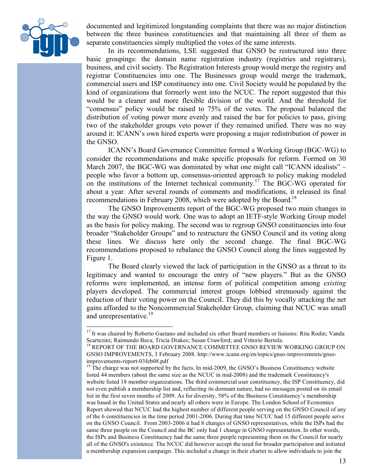

documented and legitimized longstanding complaints that there was no major distinction between the three business constituencies and that maintaining all three of them as separate constituencies simply multiplied the votes of the same interests.

In its recommendations, LSE suggested that GNSO be restructured into three basic groupings: the domain name registration industry (registries and registrars), business, and civil society. The Registration Interests group would merge the registry and registrar Constituencies into one. The Businesses group would merge the trademark, commercial users and ISP constituency into one. Civil Society would be populated by the kind of organizations that formerly went into the NCUC. The report suggested that this would be a cleaner and more flexible division of the world. And the threshold for "consensus" policy would be raised to 75% of the votes. The proposal balanced the distribution of voting power more evenly and raised the bar for policies to pass, giving two of the stakeholder groups veto power if they remained unified. There was no way around it: ICANN's own hired experts were proposing a major redistribution of power in the GNSO.

ICANN's Board Governance Committee formed a Working Group (BGC-WG) to consider the recommendations and make specific proposals for reform. Formed on 30 March 2007, the BGC-WG was dominated by what one might call "ICANN idealists" – people who favor a bottom up, consensus-oriented approach to policy making modeled on the institutions of the Internet technical community.17 The BGC-WG operated for about a year. After several rounds of comments and modifications, it released its final recommendations in February 2008, which were adopted by the Board.<sup>18</sup>

The GNSO Improvements report of the BGC-WG proposed two main changes in the way the GNSO would work. One was to adopt an IETF-style Working Group model as the basis for policy making. The second was to regroup GNSO constituencies into four broader "Stakeholder Groups" and to restructure the GNSO Council and its voting along these lines. We discuss here only the second change. The final BGC-WG recommendations proposed to rebalance the GNSO Council along the lines suggested by Figure 1.

The Board clearly viewed the lack of participation in the GNSO as a threat to its legitimacy and wanted to encourage the entry of "new players." But as the GNSO reforms were implemented, an intense form of political competition among *existing* players developed. The commercial interest groups lobbied strenuously against the reduction of their voting power on the Council. They did this by vocally attacking the net gains afforded to the Noncommercial Stakeholder Group, claiming that NCUC was small and unrepresentative.<sup>19</sup>

<sup>&</sup>lt;sup>17</sup> It was chaired by Roberto Gaetano and included six other Board members or liaisons: Rita Rodin; Vanda Scartezini; Raimundo Beca; Tricia Drakes; Susan Crawford; and Vittorio Bertola.<br><sup>18</sup> REPORT OF THE BOARD GOVERNANCE COMMITTEE GNSO REVIEW WORKING GROUP ON

GNSO IMPROVEMENTS, 3 February 2008. http://www.icann.org/en/topics/gnso-improvements/gnsoimprovements-report-03feb08.pdf<br><sup>19</sup> The charge was not supported by the facts. In mid-2009, the GNSO's Business Constituency website

listed 44 members (about the same size as the NCUC in mid-2008) and the trademark Constituency's website listed 18 member organizations. The third commercial user constituency, the ISP Constituency, did not even publish a membership list and, reflecting its dormant nature, had no messages posted on its email list in the first seven months of 2009. As for diversity, 58% of the Business Constituency's membership was based in the United States and nearly all others were in Europe. The London School of Economics Report showed that NCUC had the highest number of different people serving on the GNSO Council of any of the 6 constituencies in the time period 2001-2006. During that time NCUC had 15 different people serve on the GNSO Council. From 2003-2006 it had 8 changes of GNSO representatives, while the ISPs had the same three people on the Council and the BC only had 1 change in GNSO representation. In other words, the ISPs and Business Constituency had the same three people representing them on the Council for nearly all of the GNSO's existence. The NCUC did however accept the need for broader participation and initiated a membership expansion campaign. This included a change in their charter to allow individuals to join the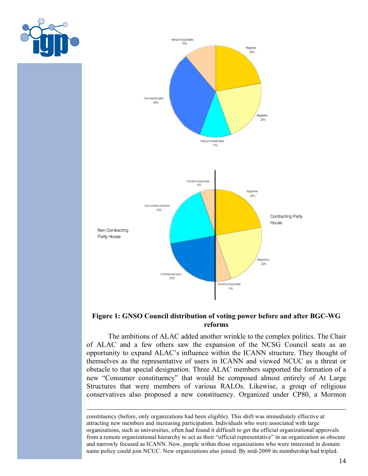

#### **Figure 1: GNSO Council distribution of voting power before and after BGC-WG reforms**

The ambitions of ALAC added another wrinkle to the complex politics. The Chair of ALAC and a few others saw the expansion of the NCSG Council seats as an opportunity to expand ALAC's influence within the ICANN structure. They thought of themselves as the representative of users in ICANN and viewed NCUC as a threat or obstacle to that special designation. Three ALAC members supported the formation of a new "Consumer constituency" that would be composed almost entirely of At Large Structures that were members of various RALOs. Likewise, a group of religious conservatives also proposed a new constituency. Organized under CP80, a Mormon

constituency (before, only organizations had been eligible). This shift was immediately effective at attracting new members and increasing participation. Individuals who were associated with large organizations, such as universities, often had found it difficult to get the official organizational approvals from a remote organizational hierarchy to act as their "official representative" in an organization as obscure and narrowly focused as ICANN. Now, people within those organizations who were interested in domain name policy could join NCUC. New organizations also joined. By mid-2009 its membership had tripled.

 $\overline{a}$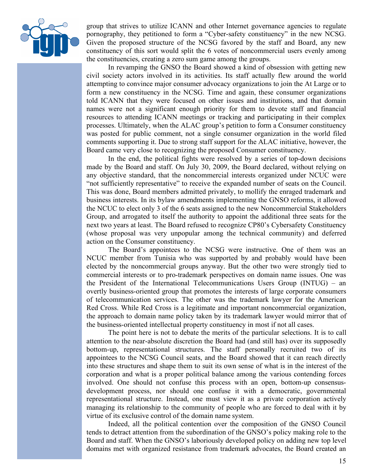

group that strives to utilize ICANN and other Internet governance agencies to regulate pornography, they petitioned to form a "Cyber-safety constituency" in the new NCSG. Given the proposed structure of the NCSG favored by the staff and Board, any new constituency of this sort would split the 6 votes of noncommercial users evenly among the constituencies, creating a zero sum game among the groups.

In revamping the GNSO the Board showed a kind of obsession with getting new civil society actors involved in its activities. Its staff actually flew around the world attempting to convince major consumer advocacy organizations to join the At Large or to form a new constituency in the NCSG. Time and again, these consumer organizations told ICANN that they were focused on other issues and institutions, and that domain names were not a significant enough priority for them to devote staff and financial resources to attending ICANN meetings or tracking and participating in their complex processes. Ultimately, when the ALAC group's petition to form a Consumer constituency was posted for public comment, not a single consumer organization in the world filed comments supporting it. Due to strong staff support for the ALAC initiative, however, the Board came very close to recognizing the proposed Consumer constituency.

In the end, the political fights were resolved by a series of top-down decisions made by the Board and staff. On July 30, 2009, the Board declared, without relying on any objective standard, that the noncommercial interests organized under NCUC were "not sufficiently representative" to receive the expanded number of seats on the Council. This was done, Board members admitted privately, to mollify the enraged trademark and business interests. In its bylaw amendments implementing the GNSO reforms, it allowed the NCUC to elect only 3 of the 6 seats assigned to the new Noncommercial Stakeholders Group, and arrogated to itself the authority to appoint the additional three seats for the next two years at least. The Board refused to recognize CP80's Cybersafety Constituency (whose proposal was very unpopular among the technical community) and deferred action on the Consumer constituency.

The Board's appointees to the NCSG were instructive. One of them was an NCUC member from Tunisia who was supported by and probably would have been elected by the noncommercial groups anyway. But the other two were strongly tied to commercial interests or to pro-trademark perspectives on domain name issues. One was the President of the International Telecommunications Users Group (INTUG) – an overtly business-oriented group that promotes the interests of large corporate consumers of telecommunication services. The other was the trademark lawyer for the American Red Cross. While Red Cross is a legitimate and important noncommercial organization, the approach to domain name policy taken by its trademark lawyer would mirror that of the business-oriented intellectual property constituency in most if not all cases.

The point here is not to debate the merits of the particular selections. It is to call attention to the near-absolute discretion the Board had (and still has) over its supposedly bottom-up, representational structures. The staff personally recruited two of its appointees to the NCSG Council seats, and the Board showed that it can reach directly into these structures and shape them to suit its own sense of what is in the interest of the corporation and what is a proper political balance among the various contending forces involved. One should not confuse this process with an open, bottom-up consensusdevelopment process, nor should one confuse it with a democratic, governmental representational structure. Instead, one must view it as a private corporation actively managing its relationship to the community of people who are forced to deal with it by virtue of its exclusive control of the domain name system.

Indeed, all the political contention over the composition of the GNSO Council tends to detract attention from the subordination of the GNSO's policy making role to the Board and staff. When the GNSO's laboriously developed policy on adding new top level domains met with organized resistance from trademark advocates, the Board created an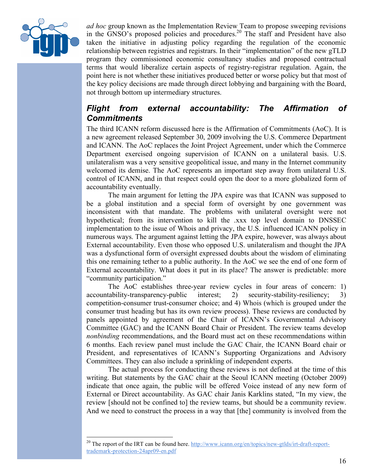

*ad hoc* group known as the Implementation Review Team to propose sweeping revisions in the  $\overline{GNSO}$ 's proposed policies and procedures.<sup>20</sup> The staff and President have also taken the initiative in adjusting policy regarding the regulation of the economic relationship between registries and registrars. In their "implementation" of the new gTLD program they commissioned economic consultancy studies and proposed contractual terms that would liberalize certain aspects of registry-registrar regulation. Again, the point here is not whether these initiatives produced better or worse policy but that most of the key policy decisions are made through direct lobbying and bargaining with the Board, not through bottom up intermediary structures.

## *Flight from external accountability: The Affirmation of Commitments*

The third ICANN reform discussed here is the Affirmation of Commitments (AoC). It is a new agreement released September 30, 2009 involving the U.S. Commerce Department and ICANN. The AoC replaces the Joint Project Agreement, under which the Commerce Department exercised ongoing supervision of ICANN on a unilateral basis. U.S. unilateralism was a very sensitive geopolitical issue, and many in the Internet community welcomed its demise. The AoC represents an important step away from unilateral U.S. control of ICANN, and in that respect could open the door to a more globalized form of accountability eventually.

The main argument for letting the JPA expire was that ICANN was supposed to be a global institution and a special form of oversight by one government was inconsistent with that mandate. The problems with unilateral oversight were not hypothetical; from its intervention to kill the .xxx top level domain to DNSSEC implementation to the issue of Whois and privacy, the U.S. influenced ICANN policy in numerous ways. The argument against letting the JPA expire, however, was always about External accountability. Even those who opposed U.S. unilateralism and thought the JPA was a dysfunctional form of oversight expressed doubts about the wisdom of eliminating this one remaining tether to a public authority. In the AoC we see the end of one form of External accountability. What does it put in its place? The answer is predictable: more "community participation."

The AoC establishes three-year review cycles in four areas of concern: 1) accountability-transparency-public interest; 2) security-stability-resiliency; 3) competition-consumer trust-consumer choice; and 4) Whois (which is grouped under the consumer trust heading but has its own review process). These reviews are conducted by panels appointed by agreement of the Chair of ICANN's Governmental Advisory Committee (GAC) and the ICANN Board Chair or President. The review teams develop *nonbinding* recommendations, and the Board must act on these recommendations within 6 months. Each review panel must include the GAC Chair, the ICANN Board chair or President, and representatives of ICANN's Supporting Organizations and Advisory Committees. They can also include a sprinkling of independent experts.

The actual process for conducting these reviews is not defined at the time of this writing. But statements by the GAC chair at the Seoul ICANN meeting (October 2009) indicate that once again, the public will be offered Voice instead of any new form of External or Direct accountability. As GAC chair Janis Karklins stated, "In my view, the review [should not be confined to] the review teams, but should be a community review. And we need to construct the process in a way that [the] community is involved from the

<sup>&</sup>lt;sup>20</sup> The report of the IRT can be found here. http://www.icann.org/en/topics/new-gtlds/irt-draft-reporttrademark-protection-24apr09-en.pdf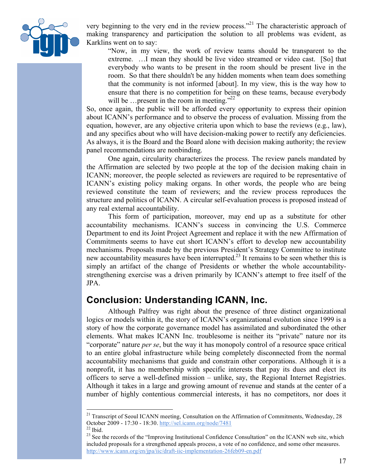

very beginning to the very end in the review process."<sup>21</sup> The characteristic approach of making transparency and participation the solution to all problems was evident, as Karklins went on to say:

"Now, in my view, the work of review teams should be transparent to the extreme. …I mean they should be live video streamed or video cast. [So] that everybody who wants to be present in the room should be present live in the room. So that there shouldn't be any hidden moments when team does something that the community is not informed [about]. In my view, this is the way how to ensure that there is no competition for being on these teams, because everybody will be ... present in the room in meeting."<sup>22</sup>

So, once again, the public will be afforded every opportunity to express their opinion about ICANN's performance and to observe the process of evaluation. Missing from the equation, however, are any objective criteria upon which to base the reviews (e.g., law), and any specifics about who will have decision-making power to rectify any deficiencies. As always, it is the Board and the Board alone with decision making authority; the review panel recommendations are nonbinding.

One again, circularity characterizes the process. The review panels mandated by the Affirmation are selected by two people at the top of the decision making chain in ICANN; moreover, the people selected as reviewers are required to be representative of ICANN's existing policy making organs. In other words, the people who are being reviewed constitute the team of reviewers; and the review process reproduces the structure and politics of ICANN. A circular self-evaluation process is proposed instead of any real external accountability.

This form of participation, moreover, may end up as a substitute for other accountability mechanisms. ICANN's success in convincing the U.S. Commerce Department to end its Joint Project Agreement and replace it with the new Affirmation of Commitments seems to have cut short ICANN's effort to develop new accountability mechanisms. Proposals made by the previous President's Strategy Committee to institute new accountability measures have been interrupted.<sup>23</sup> It remains to be seen whether this is simply an artifact of the change of Presidents or whether the whole accountabilitystrengthening exercise was a driven primarily by ICANN's attempt to free itself of the JPA.

## **Conclusion: Understanding ICANN, Inc.**

Although Palfrey was right about the presence of three distinct organizational logics or models within it, the story of ICANN's organizational evolution since 1999 is a story of how the corporate governance model has assimilated and subordinated the other elements. What makes ICANN Inc. troublesome is neither its "private" nature nor its "corporate" nature *per se*, but the way it has monopoly control of a resource space critical to an entire global infrastructure while being completely disconnected from the normal accountability mechanisms that guide and constrain other corporations. Although it is a nonprofit, it has no membership with specific interests that pay its dues and elect its officers to serve a well-defined mission – unlike, say, the Regional Internet Registries. Although it takes in a large and growing amount of revenue and stands at the center of a number of highly contentious commercial interests, it has no competitors, nor does it

<sup>&</sup>lt;sup>21</sup> Transcript of Seoul ICANN meeting, Consultation on the Affirmation of Commitments, Wednesday, 28 October 2009 - 17:30 - 18:30. http://sel.icann.org/node/7481<br><sup>22</sup> Ibid.

<sup>&</sup>lt;sup>23</sup> See the records of the "Improving Institutional Confidence Consultation" on the ICANN web site, which included proposals for a strengthened appeals process, a vote of no confidence, and some other measures. http://www.icann.org/en/jpa/iic/draft-iic-implementation-26feb09-en.pdf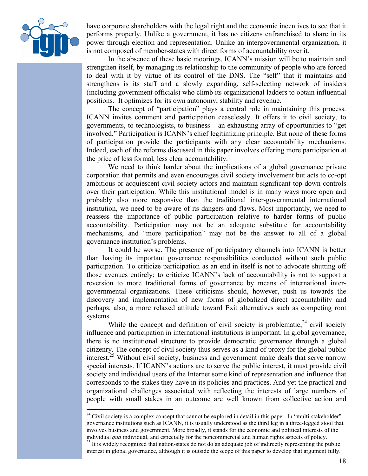

have corporate shareholders with the legal right and the economic incentives to see that it performs properly. Unlike a government, it has no citizens enfranchised to share in its power through election and representation. Unlike an intergovernmental organization, it is not composed of member-states with direct forms of accountability over it.

In the absence of these basic moorings, ICANN's mission will be to maintain and strengthen itself, by managing its relationship to the community of people who are forced to deal with it by virtue of its control of the DNS. The "self" that it maintains and strengthens is its staff and a slowly expanding, self-selecting network of insiders (including government officials) who climb its organizational ladders to obtain influential positions. It optimizes for its own autonomy, stability and revenue.

The concept of "participation" plays a central role in maintaining this process. ICANN invites comment and participation ceaselessly. It offers it to civil society, to governments, to technologists, to business – an exhausting array of opportunities to "get involved." Participation is ICANN's chief legitimizing principle. But none of these forms of participation provide the participants with any clear accountability mechanisms. Indeed, each of the reforms discussed in this paper involves offering more participation at the price of less formal, less clear accountability.

We need to think harder about the implications of a global governance private corporation that permits and even encourages civil society involvement but acts to co-opt ambitious or acquiescent civil society actors and maintain significant top-down controls over their participation. While this institutional model is in many ways more open and probably also more responsive than the traditional inter-governmental international institution, we need to be aware of its dangers and flaws. Most importantly, we need to reassess the importance of public participation relative to harder forms of public accountability. Participation may not be an adequate substitute for accountability mechanisms, and "more participation" may not be the answer to all of a global governance institution's problems.

It could be worse. The presence of participatory channels into ICANN is better than having its important governance responsibilities conducted without such public participation. To criticize participation as an end in itself is not to advocate shutting off those avenues entirely; to criticize ICANN's lack of accountability is not to support a reversion to more traditional forms of governance by means of international intergovernmental organizations. These criticisms should, however, push us towards the discovery and implementation of new forms of globalized direct accountability and perhaps, also, a more relaxed attitude toward Exit alternatives such as competing root systems.

While the concept and definition of civil society is problematic,  $24$  civil society influence and participation in international institutions is important. In global governance, there is no institutional structure to provide democratic governance through a global citizenry. The concept of civil society thus serves as a kind of proxy for the global public interest.<sup>25</sup> Without civil society, business and government make deals that serve narrow special interests. If ICANN's actions are to serve the public interest, it must provide civil society and individual users of the Internet some kind of representation and influence that corresponds to the stakes they have in its policies and practices. And yet the practical and organizational challenges associated with reflecting the interests of large numbers of people with small stakes in an outcome are well known from collective action and

 $24$  Civil society is a complex concept that cannot be explored in detail in this paper. In "multi-stakeholder" governance institutions such as ICANN, it is usually understood as the third leg in a three-legged stool that involves business and government. More broadly, it stands for the economic and political interests of the individual *qua* individual, and especially for the noncommercial and human rights aspects of policy.<br><sup>25</sup> It is widely recognized that nation-states do not do an adequate job of indirectly representing the public interest in global governance, although it is outside the scope of this paper to develop that argument fully.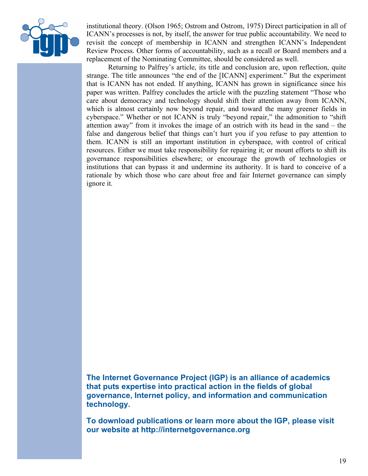

institutional theory. (Olson 1965; Ostrom and Ostrom, 1975) Direct participation in all of ICANN's processes is not, by itself, the answer for true public accountability. We need to revisit the concept of membership in ICANN and strengthen ICANN's Independent Review Process. Other forms of accountability, such as a recall or Board members and a replacement of the Nominating Committee, should be considered as well.

Returning to Palfrey's article, its title and conclusion are, upon reflection, quite strange. The title announces "the end of the [ICANN] experiment." But the experiment that is ICANN has not ended. If anything, ICANN has grown in significance since his paper was written. Palfrey concludes the article with the puzzling statement "Those who care about democracy and technology should shift their attention away from ICANN, which is almost certainly now beyond repair, and toward the many greener fields in cyberspace." Whether or not ICANN is truly "beyond repair," the admonition to "shift attention away" from it invokes the image of an ostrich with its head in the sand – the false and dangerous belief that things can't hurt you if you refuse to pay attention to them. ICANN is still an important institution in cyberspace, with control of critical resources. Either we must take responsibility for repairing it; or mount efforts to shift its governance responsibilities elsewhere; or encourage the growth of technologies or institutions that can bypass it and undermine its authority. It is hard to conceive of a rationale by which those who care about free and fair Internet governance can simply ignore it.

**The Internet Governance Project (IGP) is an alliance of academics that puts expertise into practical action in the fields of global governance, Internet policy, and information and communication technology.**

**To download publications or learn more about the IGP, please visit our website at http://internetgovernance.org**